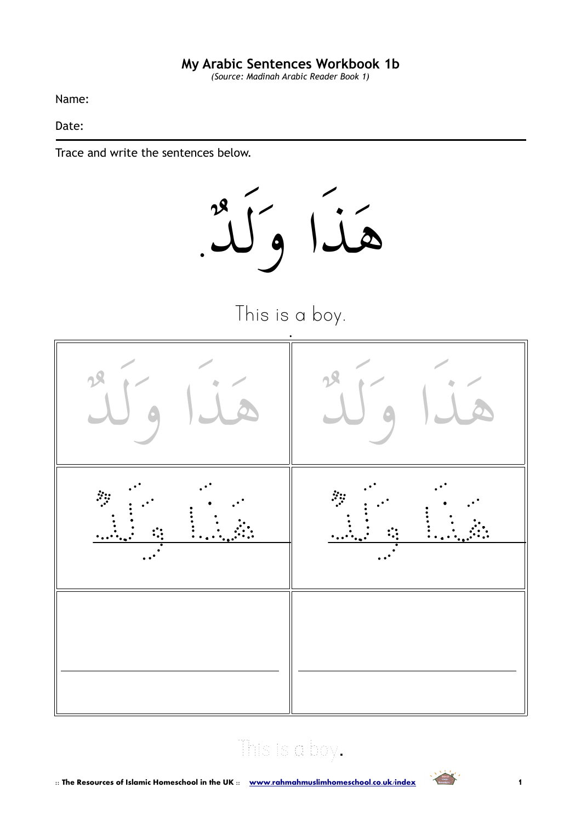*(Source: Madinah Arabic Reader Book 1)*

Name:

Date:

Trace and write the sentences below.



This is a boy.



# This is a boy.

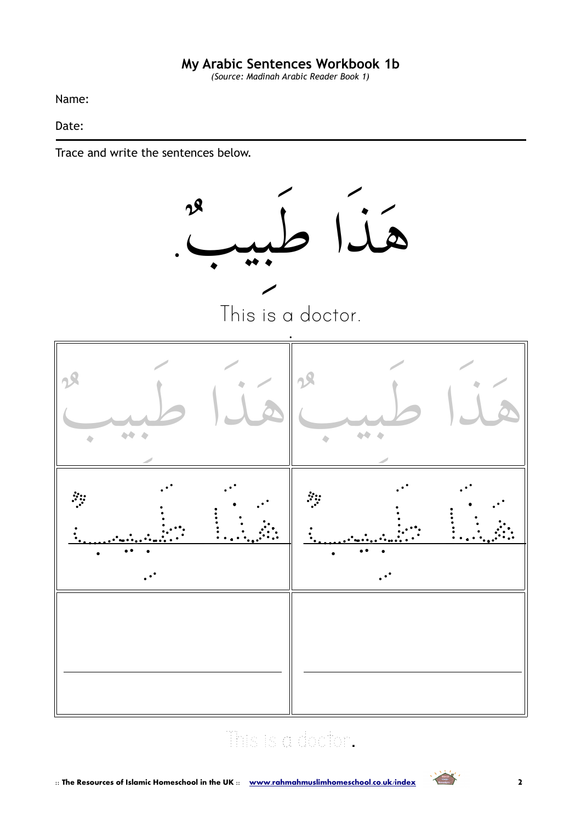*(Source: Madinah Arabic Reader Book 1)*

Name:

Date:

Trace and write the sentences below.



# This is a doctor.

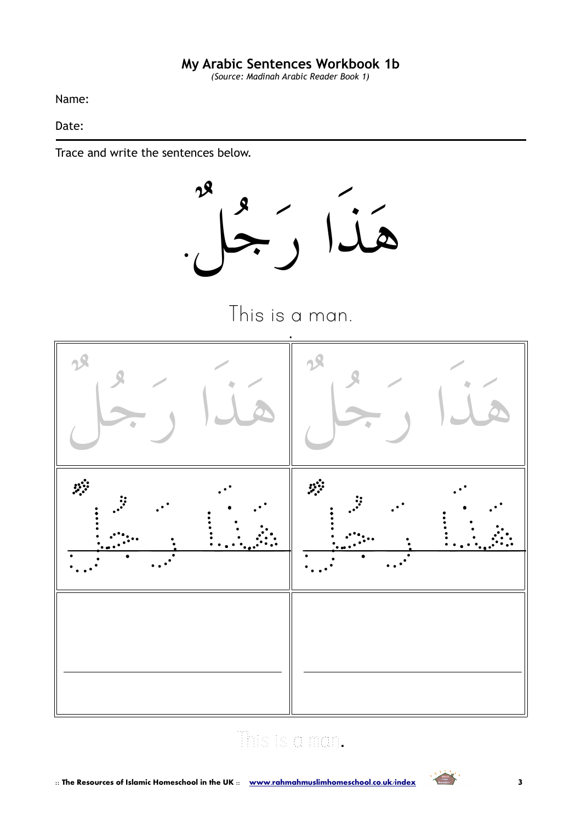*(Source: Madinah Arabic Reader Book 1)*

Name:

Date:

Trace and write the sentences below.



This is a man.



# This is a man.

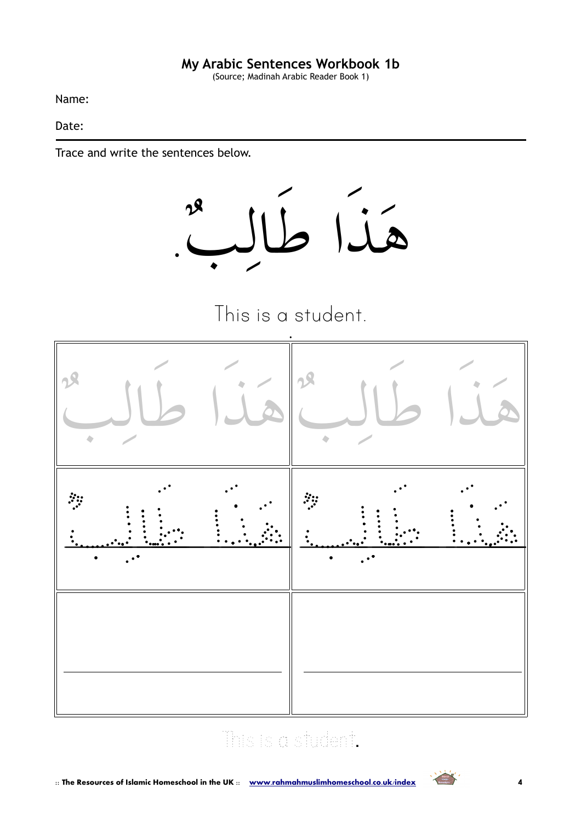(Source; Madinah Arabic Reader Book 1)

Name:

Date:

Trace and write the sentences below.







# This is a student.

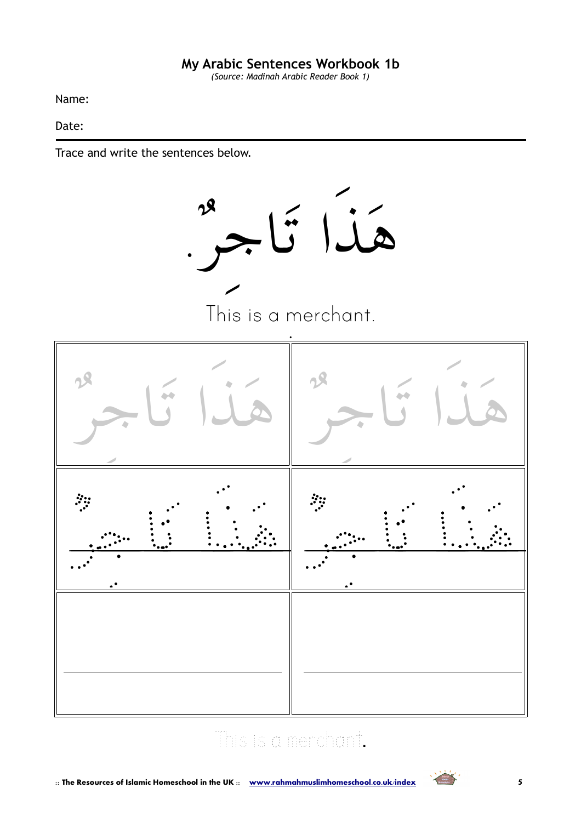*(Source: Madinah Arabic Reader Book 1)*

Name:

Date:

Trace and write the sentences below.



# This is a merchant.

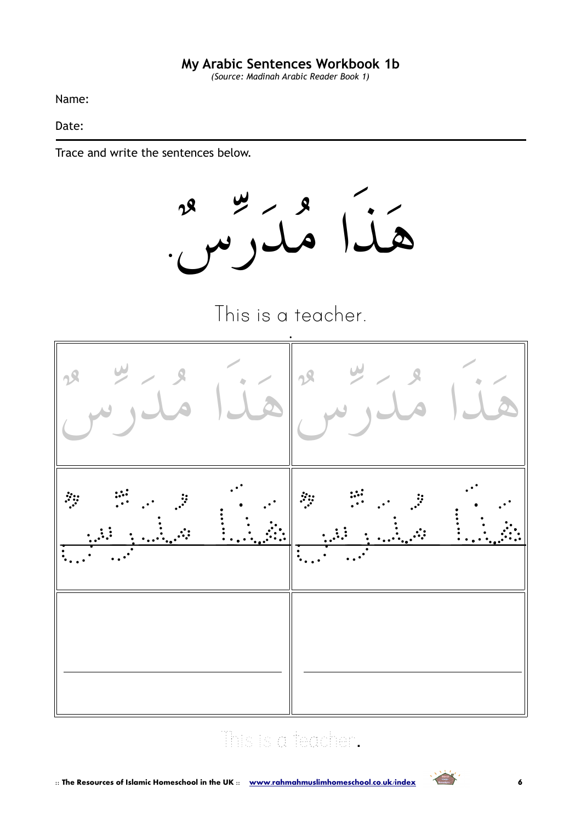*(Source: Madinah Arabic Reader Book 1)*

Name:

Date:

Trace and write the sentences below.

هذا مدرس.-

This is a teacher.



# This is a teacher.

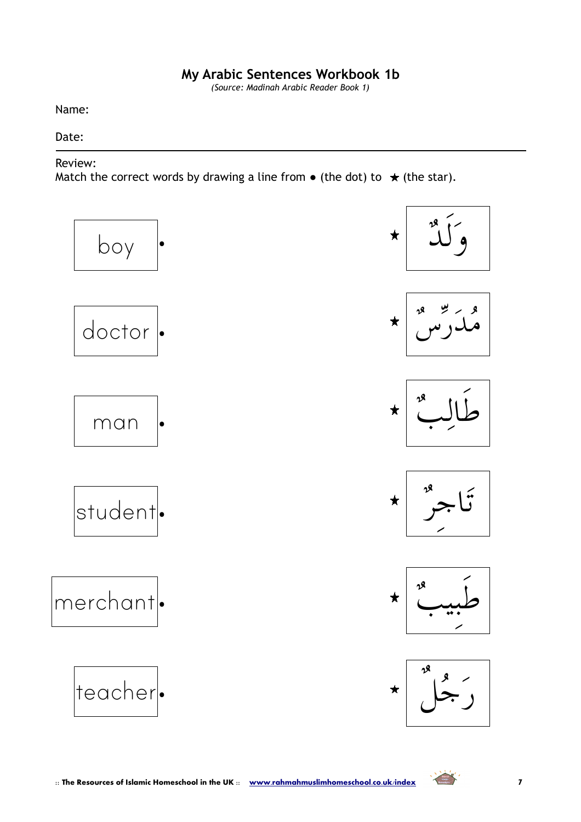*(Source: Madinah Arabic Reader Book 1)*

Name:

#### Date:

#### Review:

Match the correct words by drawing a line from  $\bullet$  (the dot) to  $\star$  (the star).